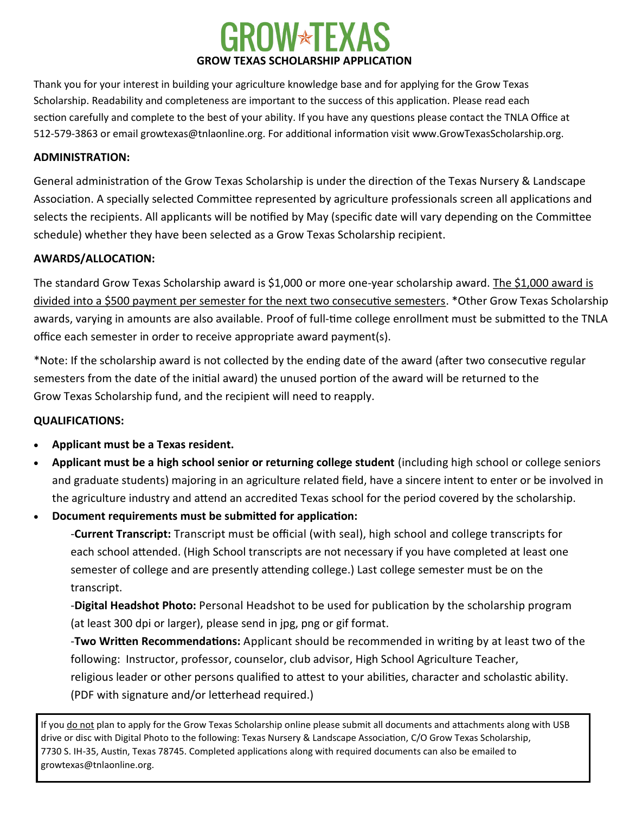## **JW\*TEX GROW TEXAS SCHOLARSHIP APPLICATION**

Thank you for your interest in building your agriculture knowledge base and for applying for the Grow Texas Scholarship. Readability and completeness are important to the success of this application. Please read each section carefully and complete to the best of your ability. If you have any questions please contact the TNLA Office at 512-579-3863 or email growtexas@tnlaonline.org. For additional information visit www.GrowTexasScholarship.org.

### **ADMINISTRATION:**

General administration of the Grow Texas Scholarship is under the direction of the Texas Nursery & Landscape Association. A specially selected Committee represented by agriculture professionals screen all applications and selects the recipients. All applicants will be notified by May (specific date will vary depending on the Committee schedule) whether they have been selected as a Grow Texas Scholarship recipient.

### **AWARDS/ALLOCATION:**

The standard Grow Texas Scholarship award is \$1,000 or more one-year scholarship award. The \$1,000 award is divided into a \$500 payment per semester for the next two consecutive semesters. \*Other Grow Texas Scholarship awards, varying in amounts are also available. Proof of full-time college enrollment must be submitted to the TNLA office each semester in order to receive appropriate award payment(s).

\*Note: If the scholarship award is not collected by the ending date of the award (after two consecutive regular semesters from the date of the initial award) the unused portion of the award will be returned to the Grow Texas Scholarship fund, and the recipient will need to reapply.

### **QUALIFICATIONS:**

- **Applicant must be a Texas resident.**
- **Applicant must be a high school senior or returning college student** (including high school or college seniors and graduate students) majoring in an agriculture related field, have a sincere intent to enter or be involved in the agriculture industry and attend an accredited Texas school for the period covered by the scholarship.
- **Document requirements must be submitted for application:**

-**Current Transcript:** Transcript must be official (with seal), high school and college transcripts for each school attended. (High School transcripts are not necessary if you have completed at least one semester of college and are presently attending college.) Last college semester must be on the transcript.

-**Digital Headshot Photo:** Personal Headshot to be used for publication by the scholarship program (at least 300 dpi or larger), please send in jpg, png or gif format.

-**Two Written Recommendations:** Applicant should be recommended in writing by at least two of the following: Instructor, professor, counselor, club advisor, High School Agriculture Teacher, religious leader or other persons qualified to attest to your abilities, character and scholastic ability. (PDF with signature and/or letterhead required.)

If you do not plan to apply for the Grow Texas Scholarship online please submit all documents and attachments along with USB drive or disc with Digital Photo to the following: Texas Nursery & Landscape Association, C/O Grow Texas Scholarship, 7730 S. IH-35, Austin, Texas 78745. Completed applications along with required documents can also be emailed to growtexas@tnlaonline.org.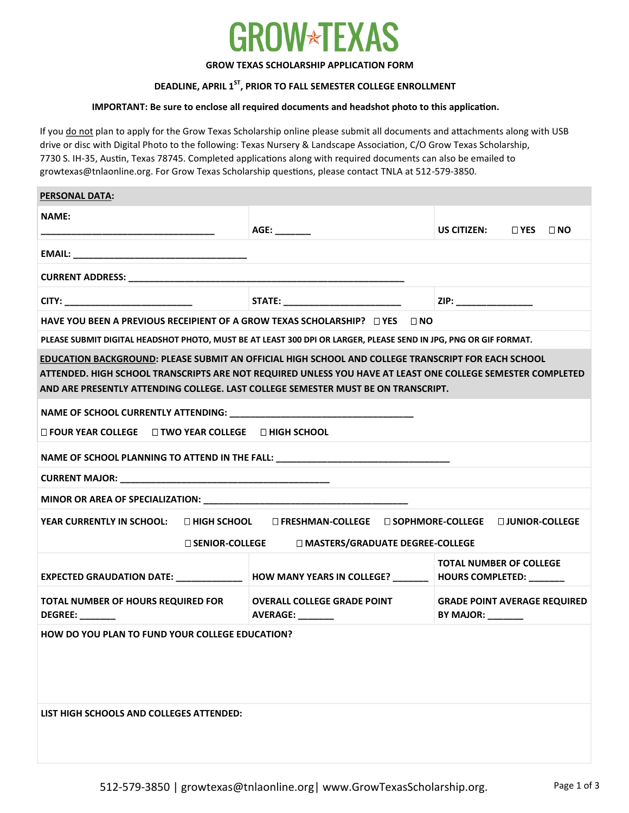# **OW\*TEXAS**

### **GROW TEXAS SCHOLARSHIP APPLICATION FORM**

### **DEADLINE, APRIL 1ST , PRIOR TO FALL SEMESTER COLLEGE ENROLLMENT**

### **IMPORTANT: Be sure to enclose all required documents and headshot photo to this application.**

If you do not plan to apply for the Grow Texas Scholarship online please submit all documents and attachments along with USB drive or disc with Digital Photo to the following: Texas Nursery & Landscape Association, C/O Grow Texas Scholarship, 7730 S. IH-35, Austin, Texas 78745. Completed applications along with required documents can also be emailed to growtexas@tnlaonline.org. For Grow Texas Scholarship questions, please contact TNLA at 512-579-3850.

| <b>PERSONAL DATA:</b>                                                                                                                                                                                                                                                                                 |                                                               |                                                                                |                      |  |  |  |
|-------------------------------------------------------------------------------------------------------------------------------------------------------------------------------------------------------------------------------------------------------------------------------------------------------|---------------------------------------------------------------|--------------------------------------------------------------------------------|----------------------|--|--|--|
| <b>NAME:</b><br>_______________________________                                                                                                                                                                                                                                                       | AGE: _______                                                  | US CITIZEN:                                                                    | $\Box$ YES $\Box$ NO |  |  |  |
|                                                                                                                                                                                                                                                                                                       |                                                               |                                                                                |                      |  |  |  |
|                                                                                                                                                                                                                                                                                                       |                                                               |                                                                                |                      |  |  |  |
|                                                                                                                                                                                                                                                                                                       |                                                               | ZIP: ________________                                                          |                      |  |  |  |
| HAVE YOU BEEN A PREVIOUS RECEIPIENT OF A GROW TEXAS SCHOLARSHIP? $\Box$ YES $\Box$ NO                                                                                                                                                                                                                 |                                                               |                                                                                |                      |  |  |  |
| PLEASE SUBMIT DIGITAL HEADSHOT PHOTO, MUST BE AT LEAST 300 DPI OR LARGER, PLEASE SEND IN JPG, PNG OR GIF FORMAT.                                                                                                                                                                                      |                                                               |                                                                                |                      |  |  |  |
| EDUCATION BACKGROUND: PLEASE SUBMIT AN OFFICIAL HIGH SCHOOL AND COLLEGE TRANSCRIPT FOR EACH SCHOOL<br>ATTENDED. HIGH SCHOOL TRANSCRIPTS ARE NOT REQUIRED UNLESS YOU HAVE AT LEAST ONE COLLEGE SEMESTER COMPLETED<br>AND ARE PRESENTLY ATTENDING COLLEGE. LAST COLLEGE SEMESTER MUST BE ON TRANSCRIPT. |                                                               |                                                                                |                      |  |  |  |
|                                                                                                                                                                                                                                                                                                       |                                                               |                                                                                |                      |  |  |  |
| $\Box$ FOUR YEAR COLLEGE $\Box$ TWO YEAR COLLEGE $\Box$ HIGH SCHOOL                                                                                                                                                                                                                                   |                                                               |                                                                                |                      |  |  |  |
| NAME OF SCHOOL PLANNING TO ATTEND IN THE FALL: _________________________________                                                                                                                                                                                                                      |                                                               |                                                                                |                      |  |  |  |
|                                                                                                                                                                                                                                                                                                       |                                                               |                                                                                |                      |  |  |  |
|                                                                                                                                                                                                                                                                                                       |                                                               |                                                                                |                      |  |  |  |
| YEAR CURRENTLY IN SCHOOL:<br>□ HIGH SCHOOL □ FRESHMAN-COLLEGE □ SOPHMORE-COLLEGE □ JUNIOR-COLLEGE<br>□ SENIOR-COLLEGE □ MASTERS/GRADUATE DEGREE-COLLEGE                                                                                                                                               |                                                               |                                                                                |                      |  |  |  |
| EXPECTED GRAUDATION DATE: _____________ HOW MANY YEARS IN COLLEGE? ______   HOURS COMPLETED: ______                                                                                                                                                                                                   |                                                               | <b>TOTAL NUMBER OF COLLEGE</b>                                                 |                      |  |  |  |
| <b>TOTAL NUMBER OF HOURS REQUIRED FOR</b><br>DEGREE: ______                                                                                                                                                                                                                                           | <b>OVERALL COLLEGE GRADE POINT</b><br><b>AVERAGE:</b> _______ | <b>GRADE POINT AVERAGE REQUIRED</b><br>BY MAJOR: $\_\_\_\_\_\_\_\_\_\_\_\_\_\$ |                      |  |  |  |
| <b>HOW DO YOU PLAN TO FUND YOUR COLLEGE EDUCATION?</b>                                                                                                                                                                                                                                                |                                                               |                                                                                |                      |  |  |  |
| LIST HIGH SCHOOLS AND COLLEGES ATTENDED:                                                                                                                                                                                                                                                              |                                                               |                                                                                |                      |  |  |  |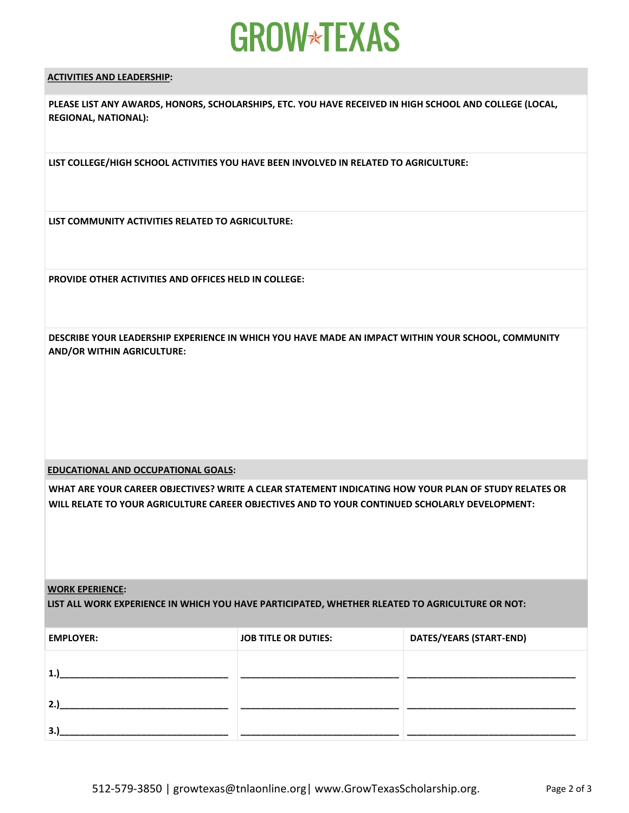# **GROW\*TEXAS**

### **ACTIVITIES AND LEADERSHIP:**

**PLEASE LIST ANY AWARDS, HONORS, SCHOLARSHIPS, ETC. YOU HAVE RECEIVED IN HIGH SCHOOL AND COLLEGE (LOCAL, REGIONAL, NATIONAL):** 

**LIST COLLEGE/HIGH SCHOOL ACTIVITIES YOU HAVE BEEN INVOLVED IN RELATED TO AGRICULTURE:**

**LIST COMMUNITY ACTIVITIES RELATED TO AGRICULTURE:**

**PROVIDE OTHER ACTIVITIES AND OFFICES HELD IN COLLEGE:**

**DESCRIBE YOUR LEADERSHIP EXPERIENCE IN WHICH YOU HAVE MADE AN IMPACT WITHIN YOUR SCHOOL, COMMUNITY AND/OR WITHIN AGRICULTURE:**

**EDUCATIONAL AND OCCUPATIONAL GOALS:** 

**WHAT ARE YOUR CAREER OBJECTIVES? WRITE A CLEAR STATEMENT INDICATING HOW YOUR PLAN OF STUDY RELATES OR WILL RELATE TO YOUR AGRICULTURE CAREER OBJECTIVES AND TO YOUR CONTINUED SCHOLARLY DEVELOPMENT:** 

### **WORK EPERIENCE:**

**LIST ALL WORK EXPERIENCE IN WHICH YOU HAVE PARTICIPATED, WHETHER RLEATED TO AGRICULTURE OR NOT:**

| <b>EMPLOYER:</b> | <b>JOB TITLE OR DUTIES:</b> | DATES/YEARS (START-END) |
|------------------|-----------------------------|-------------------------|
| ∸                |                             |                         |
| 2.               |                             |                         |
| 3                |                             |                         |